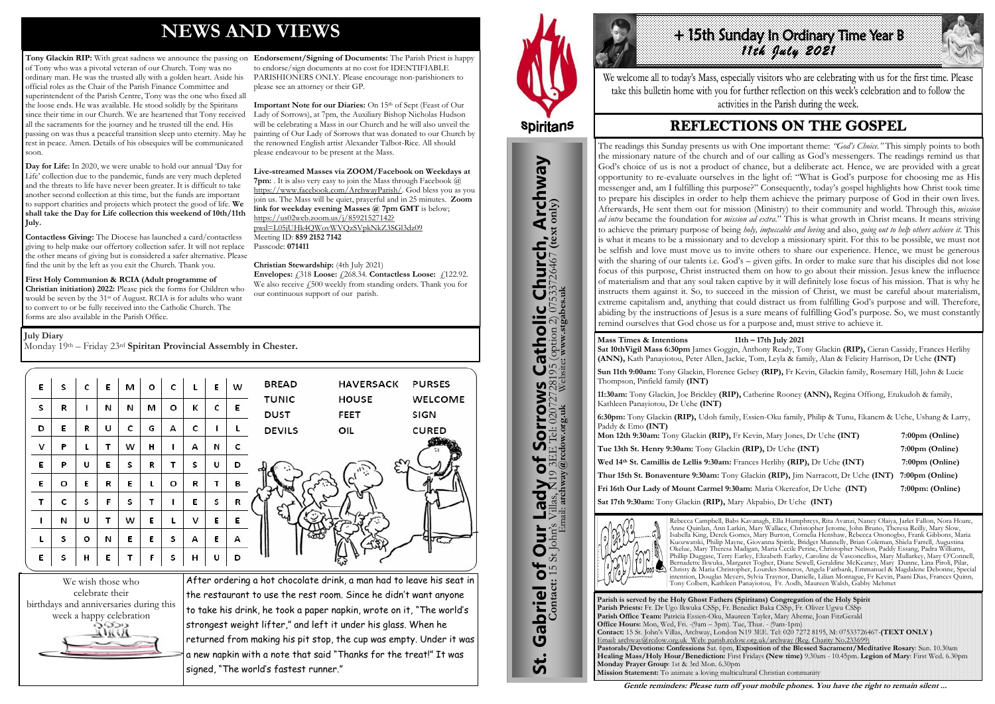# **NEWS AND VIEWS**

of Tony who was a pivotal veteran of our Church. Tony was no ordinary man. He was the trusted ally with a golden heart. Aside his official roles as the Chair of the Parish Finance Committee and superintendent of the Parish Centre, Tony was the one who fixed all the loose ends. He was available. He stood solidly by the Spiritans since their time in our Church. We are heartened that Tony received all the sacraments for the journey and he trusted till the end. His passing on was thus a peaceful transition sleep unto eternity. May he rest in peace. Amen. Details of his obsequies will be communicated soon.

**Day for Life:** In 2020, we were unable to hold our annual 'Day for Life' collection due to the pandemic, funds are very much depleted and the threats to life have never been greater. It is difficult to take another second collection at this time, but the funds are important to support charities and projects which protect the good of life. **We shall take the Day for Life collection this weekend of 10th/11th July.** 

**Tony Glackin RIP:** With great sadness we announce the passing on **Endorsement/Signing of Documents:** The Parish Priest is happy to endorse/sign documents at no cost for IDENTIFIABLE PARISHIONERS ONLY. Please encourage non-parishioners to please see an attorney or their GP.

> Important Note for our Diaries: On 15<sup>th</sup> of Sept (Feast of Our Lady of Sorrows), at 7pm, the Auxiliary Bishop Nicholas Hudson will be celebrating a Mass in our Church and he will also unveil the painting of Our Lady of Sorrows that was donated to our Church by the renowned English artist Alexander Talbot-Rice. All should please endeavour to be present at the Mass.

**Contactless Giving:** The Diocese has launched a card/contactless giving to help make our offertory collection safer. It will not replace the other means of giving but is considered a safer alternative. Please find the unit by the left as you exit the Church. Thank you.

**First Holy Communion & RCIA (Adult programme of Christian initiation) 2022:** Please pick the forms for Children who would be seven by the 31st of August. RCIA is for adults who want to convert to or be fully received into the Catholic Church. The forms are also available in the Parish Office.

**Hilbth Sunday In Ordinary Time Year B** *11th July 2021* 

We welcome all to today's Mass, especially visitors who are celebrating with us for the first time. Please take this bulletin home with you for further reflection on this week's celebration and to follow the activities in the Parish during the week.

## **REFLECTIONS ON THE GOSPEL**

**Live-streamed Masses via ZOOM/Facebook on Weekdays at 7pm:** . It is also very easy to join the Mass through Facebook @ [https://www.facebook.com/ArchwayParish/.](https://www.facebook.com/ArchwayParish/) God bless you as you join us. The Mass will be quiet, prayerful and in 25 minutes. **Zoom link for weekday evening Masses @ 7pm GMT** is below; [https://us02web.zoom.us/j/85921527142?](https://us02web.zoom.us/j/85921527142?pwd=L05jUHk4QWovWVQzSVpkNkZ3SGl3dz09) [pwd=L05jUHk4QWovWVQzSVpkNkZ3SGl3dz09](https://us02web.zoom.us/j/85921527142?pwd=L05jUHk4QWovWVQzSVpkNkZ3SGl3dz09) Meeting ID: **859 2152 7142**  Passcode: **071411** 

#### **Christian Stewardship:** (4th July 2021)

**Envelopes:** £318 **Loose:** £268.34. **Contactless Loose:** £122.92. We also receive £500 weekly from standing orders. Thank you for our continuous support of our parish.



After ordering a hot chocolate drink, a man had to leave his seat in the restaurant to use the rest room. Since he didn't want anyone to take his drink, he took a paper napkin, wrote on it, "The world's strongest weight lifter," and left it under his glass. When he returned from making his pit stop, the cup was empty. Under it was a new napkin with a note that said "Thanks for the treat!" It was signed, "The world's fastest runner."



# **Spiritans**

#### **July Diary**

Monday 19th – Friday 23rd **Spiritan Provincial Assembly in Chester.** 

| Ε | s | c       | E | м | o | c | L | Е | w | <b>BREAD</b><br><b>HAVERSACK</b><br><b>PURSES</b>                      |
|---|---|---------|---|---|---|---|---|---|---|------------------------------------------------------------------------|
| S | R |         | N | И | м | o | к | c | Ε | <b>HOUSE</b><br>WELCOME<br><b>TUNIC</b><br><b>DUST</b><br>FEET<br>SIGN |
| D | E | R       | U | c | G | А | c | ٠ |   | <b>DEVILS</b><br><b>CURED</b><br>OIL                                   |
| ٧ | Ρ | L       | т | w | н |   | А | И | c |                                                                        |
| E | P | U       | Е | s | R | т | S | U | D |                                                                        |
| Ε | o | E       | R | Е | L | o | R | т | в |                                                                        |
| T | c | s       | F | s | т |   | Е | s | R |                                                                        |
| 1 | N | υ       | т | w | Е | L | v | Ε | E | ξ.                                                                     |
| L | s | $\circ$ | N | Е | Ε | s | А | Ε | А |                                                                        |
| E | S | н       | E |   | F | s | н | U | D |                                                                        |



**Mass Times & Intentions 11th – 17th July 2021 Sat 10thVigil Mass 6:30pm** James Goggin, Anthony Ready, Tony Glackin **(RIP),** Cieran Cassidy, Frances Herlihy **(ANN),** Kath Panayiotou, Peter Allen, Jackie, Tom, Leyla & family, Alan & Felicity Harrison, Dr Uche **(INT)**

**Sun 11th 9:00am:** Tony Glackin, Florence Gelsey **(RIP),** Fr Kevin, Glackin family, Rosemary Hill, John & Lucie Thompson, Pinfield family **(INT)**

**11:30am:** Tony Glackin, Joe Brickley **(RIP),** Catherine Rooney **(ANN),** Regina Offiong, Etukudoh & family, Kathleen Panayiotou, Dr Uche **(INT)**

**6:30pm:** Tony Glackin **(RIP),** Udoh family, Essien-Oku family, Philip & Tunu, Ekanem & Uche, Ushang & Larry, Paddy & Emo **(INT)**

**Mon 12th 9:30am:** Tony Glackin **(RIP),** Fr Kevin, Mary Jones, Dr Uche **(INT) 7:00pm (Online) Tue 13th St. Henry 9:30am:** Tony Glackin **(RIP),** Dr Uche **(INT) 7:00pm (Online) Wed 14th St. Camillis de Lellis 9:30am:** Frances Herlihy **(RIP),** Dr Uche **(INT) 7:00pm (Online) Thur 15th St. Bonaventure 9:30am:** Tony Glackin **(RIP),** Jim Narracott, Dr Uche **(INT) 7:00pm (Online) Fri 16th Our Lady of Mount Carmel 9:30am:** Maria Okereafor, Dr Uche **(INT) 7:00pm: (Online) Sat 17th 9:30am:** Tony Glackin **(RIP),** Mary Akpabio, Dr Uche **(INT)**



Rebecca Campbell, Babs Kavanagh, Ella Humphreys, Rita Avanzi, Nancy Olaiya, Jarlet Fallon, Nora Hoare, Anne Quinlan, Ann Larkin, Mary Wallace, Christopher Jerome, John Bruno, Theresa Reilly, Mary Slow, Isabella King, Derek Gomes, Mary Burton, Cornelia Henshaw, Rebecca Ononogbo, Frank Gibbons, Maria Kuozwatski, Philip Mayne, Giovanna Spittle, Bridget Munnelly, Brian Coleman, Shiela Farrell, Augustina Okelue, Mary Theresa Madigan, Maria Cecile Perine, Christopher Nelson, Paddy Essang, Padra Williams, Phillip Duggase, Terry Earley, Elizabeth Earley, Caroline de Vasconcellos, Mary Mullarkey, Mary O'Connell, Bernadette Ikwuka, Margaret Togher, Diane Sewell, Geraldine McKeaney, Mary Dunne, Lina Piroli, Pilar, Christy & Maria Christopher, Lourdes Sisneros, Angela Fairbank, Emmanuel & Magdalene Debonne, Special intention, Douglas Meyers, Sylvia Traynor, Danielle, Lilian Montague, Fr Kevin, Paani Dias, Frances Quinn, Tony Colbert, Kathleen Panayiotou, Fr. Aodh, Maureen Walsh, Gabby Mehmet

Parish is served by the Holy Ghost Fathers (Spirit Parish Priests: Fr. Dr Ugo Ikwuka CSSp, Fr. Benedi Parish Office Team: Patricia Essien-Oku, Maureen **Office Hours:** Mon, Wed, Fri. -(9am - 3pm). Tue, T **Contact:** 15 St. John's Villas, Archway, London N19 Email: archway@rcdow.org.uk\_Web: parish.rcdow.o **Pastorals/Devotions: Confessions** Sat. 6pm, Expo **Healing Mass/Holy Hour/Benediction: First Fr Monday Prayer Group**: 1st & 3rd Mon. 6.30pm **Mission Statement:** To animate a loving multicultu

| tans) Congregation of the Holy Spirit                               |  |
|---------------------------------------------------------------------|--|
| ct Baka CSSp, Fr. Oliver Ugwu CSSp                                  |  |
| Tayler, Mary Aherne, Joan FitzGerald                                |  |
| hur. - (9am-1pm)                                                    |  |
| 3EE. Tel: 020 7272 8195, M: 07533726467 (TEXT ONLY)                 |  |
| rg.uk/archway (Reg. Charity No.233699).                             |  |
| osition of the Blessed Sacrament/Meditative Rosary: Sun. 10.30am    |  |
| days (New time) 9.30am - 10.45pm. Legion of Mary: First Wed. 6.30pm |  |
|                                                                     |  |
| al Christian community                                              |  |

**Gentle reminders: Please turn off your mobile phones. You have the right to remain silent ...** 

The readings this Sunday presents us with One important theme: *"God's Choice."* This simply points to both the missionary nature of the church and of our calling as God's messengers. The readings remind us that God's choice of us is not a product of chance, but a deliberate act. Hence, we are provided with a great opportunity to re-evaluate ourselves in the light of: "What is God's purpose for choosing me as His messenger and, am I fulfilling this purpose?" Consequently, today's gospel highlights how Christ took time to prepare his disciples in order to help them achieve the primary purpose of God in their own lives. Afterwards, He sent them out for mission (Ministry) to their community and world. Through this, *mission ad intra* became the foundation for *mission ad extra.*" This is what growth in Christ means. It means striving to achieve the primary purpose of being *holy, impeccable and loving* and also, *going out to help others achieve it.* This is what it means to be a missionary and to develop a missionary spirit. For this to be possible, we must not be selfish and love must move us to invite others to share our experience. Hence, we must be generous with the sharing of our talents i.e. God's – given gifts. In order to make sure that his disciples did not lose focus of this purpose, Christ instructed them on how to go about their mission. Jesus knew the influence of materialism and that any soul taken captive by it will definitely lose focus of his mission. That is why he instructs them against it. So, to succeed in the mission of Christ, we must be careful about materialism, extreme capitalism and, anything that could distract us from fulfilling God's purpose and will. Therefore, abiding by the instructions of Jesus is a sure means of fulfilling God's purpose. So, we must constantly remind ourselves that God chose us for a purpose and, must strive to achieve it.